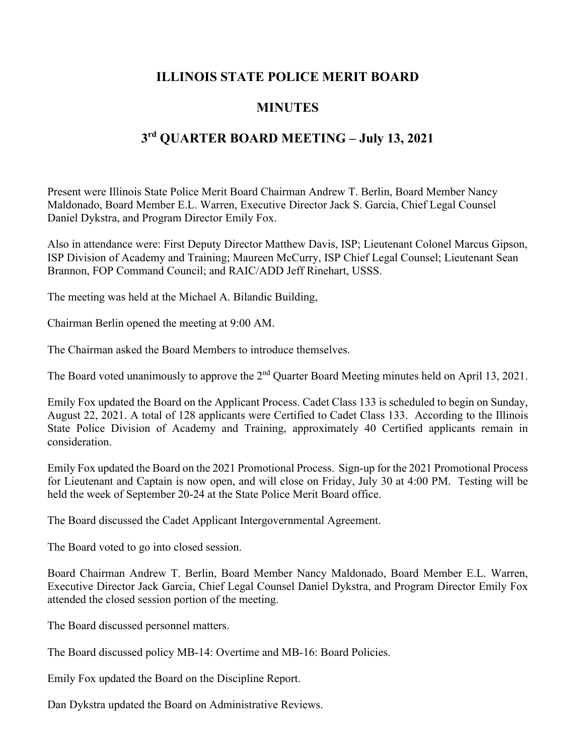## **ILLINOIS STATE POLICE MERIT BOARD**

## **MINUTES**

## **3rd QUARTER BOARD MEETING – July 13, 2021**

Present were Illinois State Police Merit Board Chairman Andrew T. Berlin, Board Member Nancy Maldonado, Board Member E.L. Warren, Executive Director Jack S. Garcia, Chief Legal Counsel Daniel Dykstra, and Program Director Emily Fox.

Also in attendance were: First Deputy Director Matthew Davis, ISP; Lieutenant Colonel Marcus Gipson, ISP Division of Academy and Training; Maureen McCurry, ISP Chief Legal Counsel; Lieutenant Sean Brannon, FOP Command Council; and RAIC/ADD Jeff Rinehart, USSS.

The meeting was held at the Michael A. Bilandic Building,

Chairman Berlin opened the meeting at 9:00 AM.

The Chairman asked the Board Members to introduce themselves.

The Board voted unanimously to approve the 2<sup>nd</sup> Quarter Board Meeting minutes held on April 13, 2021.

Emily Fox updated the Board on the Applicant Process. Cadet Class 133 is scheduled to begin on Sunday, August 22, 2021. A total of 128 applicants were Certified to Cadet Class 133. According to the Illinois State Police Division of Academy and Training, approximately 40 Certified applicants remain in consideration.

Emily Fox updated the Board on the 2021 Promotional Process. Sign-up for the 2021 Promotional Process for Lieutenant and Captain is now open, and will close on Friday, July 30 at 4:00 PM. Testing will be held the week of September 20-24 at the State Police Merit Board office.

The Board discussed the Cadet Applicant Intergovernmental Agreement.

The Board voted to go into closed session.

Board Chairman Andrew T. Berlin, Board Member Nancy Maldonado, Board Member E.L. Warren, Executive Director Jack Garcia, Chief Legal Counsel Daniel Dykstra, and Program Director Emily Fox attended the closed session portion of the meeting.

The Board discussed personnel matters.

The Board discussed policy MB-14: Overtime and MB-16: Board Policies.

Emily Fox updated the Board on the Discipline Report.

Dan Dykstra updated the Board on Administrative Reviews.